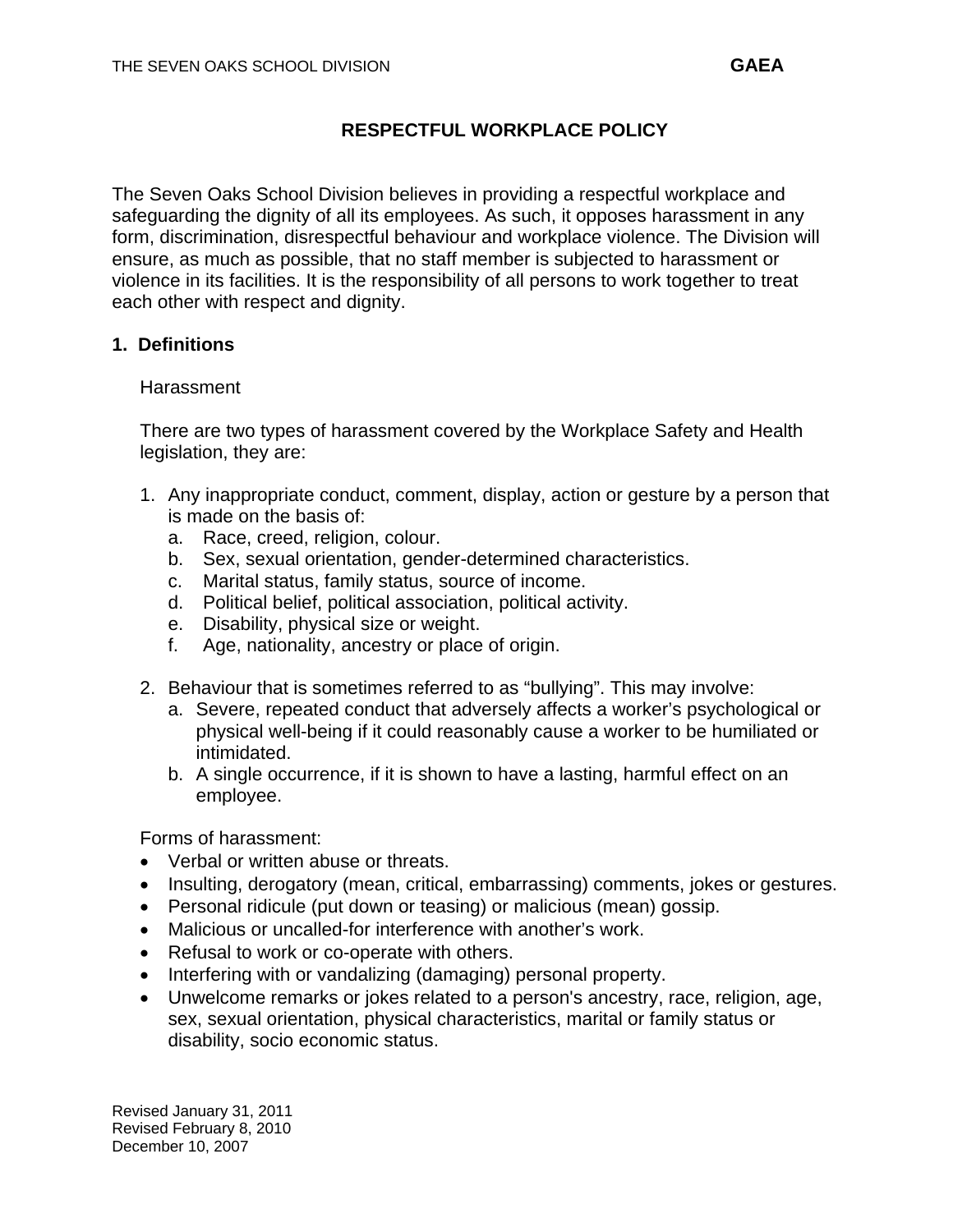The Seven Oaks School Division believes in providing a respectful workplace and safeguarding the dignity of all its employees. As such, it opposes harassment in any form, discrimination, disrespectful behaviour and workplace violence. The Division will ensure, as much as possible, that no staff member is subjected to harassment or violence in its facilities. It is the responsibility of all persons to work together to treat each other with respect and dignity.

## **1. Definitions**

### **Harassment**

There are two types of harassment covered by the Workplace Safety and Health legislation, they are:

- 1. Any inappropriate conduct, comment, display, action or gesture by a person that is made on the basis of:
	- a. Race, creed, religion, colour.
	- b. Sex, sexual orientation, gender-determined characteristics.
	- c. Marital status, family status, source of income.
	- d. Political belief, political association, political activity.
	- e. Disability, physical size or weight.
	- f. Age, nationality, ancestry or place of origin.
- 2. Behaviour that is sometimes referred to as "bullying". This may involve:
	- a. Severe, repeated conduct that adversely affects a worker's psychological or physical well-being if it could reasonably cause a worker to be humiliated or intimidated.
	- b. A single occurrence, if it is shown to have a lasting, harmful effect on an employee.

Forms of harassment:

- Verbal or written abuse or threats.
- Insulting, derogatory (mean, critical, embarrassing) comments, jokes or gestures.
- Personal ridicule (put down or teasing) or malicious (mean) gossip.
- Malicious or uncalled-for interference with another's work.
- Refusal to work or co-operate with others.
- Interfering with or vandalizing (damaging) personal property.
- Unwelcome remarks or jokes related to a person's ancestry, race, religion, age, sex, sexual orientation, physical characteristics, marital or family status or disability, socio economic status.

Revised January 31, 2011 Revised February 8, 2010 December 10, 2007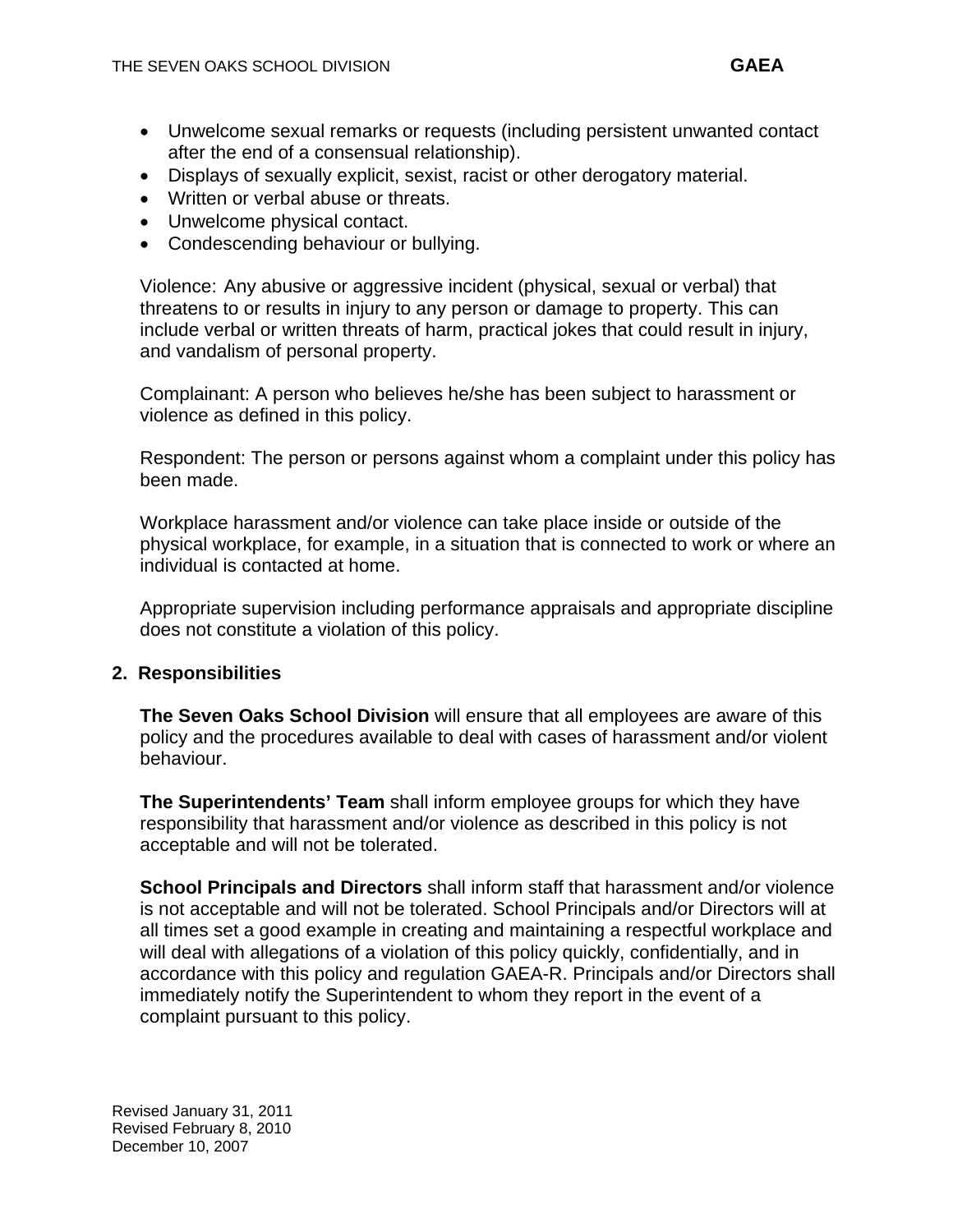- Unwelcome sexual remarks or requests (including persistent unwanted contact after the end of a consensual relationship).
- Displays of sexually explicit, sexist, racist or other derogatory material.
- Written or verbal abuse or threats.
- Unwelcome physical contact.
- Condescending behaviour or bullying.

Violence: Any abusive or aggressive incident (physical, sexual or verbal) that threatens to or results in injury to any person or damage to property. This can include verbal or written threats of harm, practical jokes that could result in injury, and vandalism of personal property.

Complainant: A person who believes he/she has been subject to harassment or violence as defined in this policy.

Respondent: The person or persons against whom a complaint under this policy has been made.

Workplace harassment and/or violence can take place inside or outside of the physical workplace, for example, in a situation that is connected to work or where an individual is contacted at home.

Appropriate supervision including performance appraisals and appropriate discipline does not constitute a violation of this policy.

## **2. Responsibilities**

**The Seven Oaks School Division** will ensure that all employees are aware of this policy and the procedures available to deal with cases of harassment and/or violent behaviour.

**The Superintendents' Team** shall inform employee groups for which they have responsibility that harassment and/or violence as described in this policy is not acceptable and will not be tolerated.

**School Principals and Directors** shall inform staff that harassment and/or violence is not acceptable and will not be tolerated. School Principals and/or Directors will at all times set a good example in creating and maintaining a respectful workplace and will deal with allegations of a violation of this policy quickly, confidentially, and in accordance with this policy and regulation GAEA-R. Principals and/or Directors shall immediately notify the Superintendent to whom they report in the event of a complaint pursuant to this policy.

Revised January 31, 2011 Revised February 8, 2010 December 10, 2007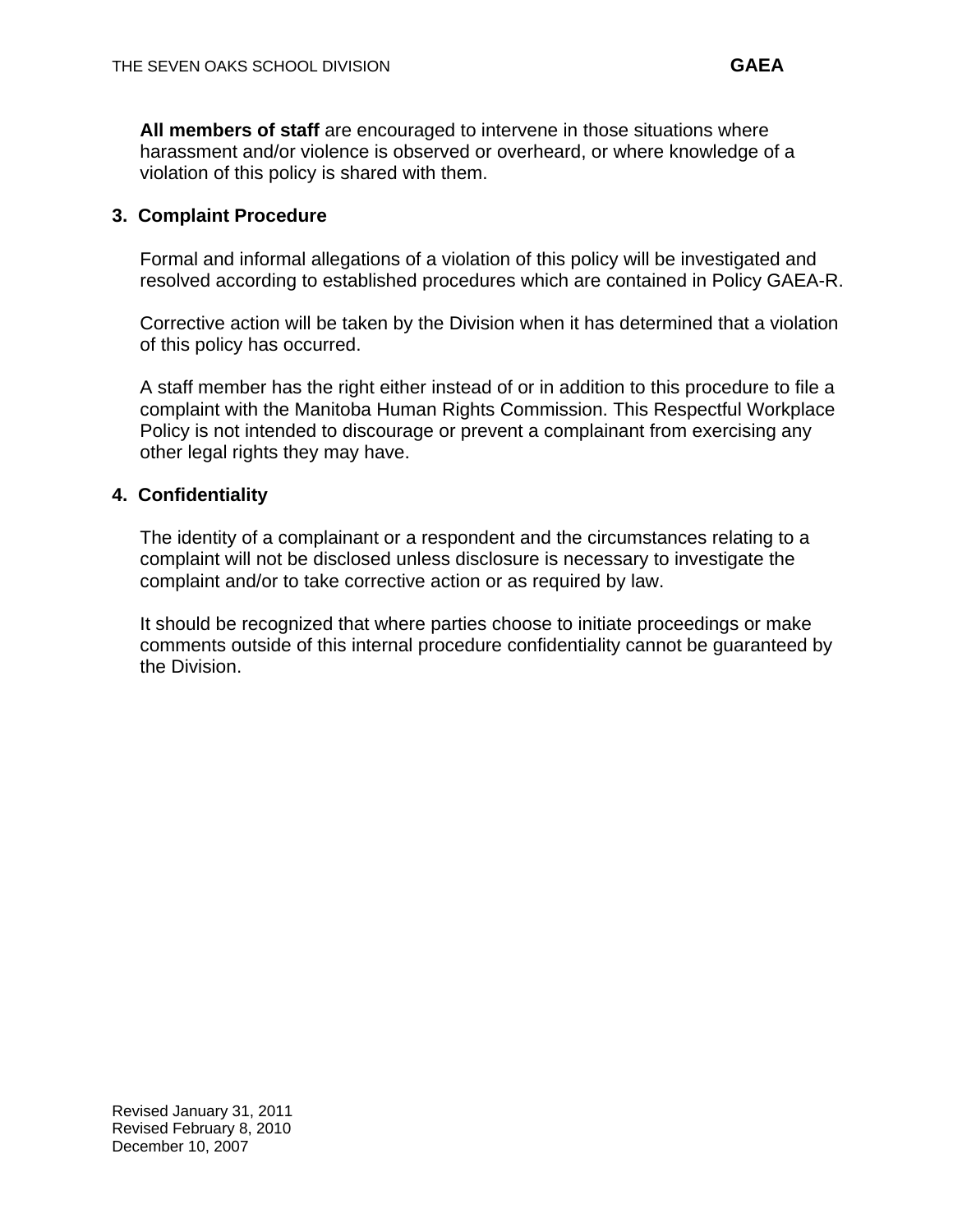**All members of staff** are encouraged to intervene in those situations where harassment and/or violence is observed or overheard, or where knowledge of a violation of this policy is shared with them.

## **3. Complaint Procedure**

Formal and informal allegations of a violation of this policy will be investigated and resolved according to established procedures which are contained in Policy GAEA-R.

Corrective action will be taken by the Division when it has determined that a violation of this policy has occurred.

A staff member has the right either instead of or in addition to this procedure to file a complaint with the Manitoba Human Rights Commission. This Respectful Workplace Policy is not intended to discourage or prevent a complainant from exercising any other legal rights they may have.

### **4. Confidentiality**

The identity of a complainant or a respondent and the circumstances relating to a complaint will not be disclosed unless disclosure is necessary to investigate the complaint and/or to take corrective action or as required by law.

It should be recognized that where parties choose to initiate proceedings or make comments outside of this internal procedure confidentiality cannot be guaranteed by the Division.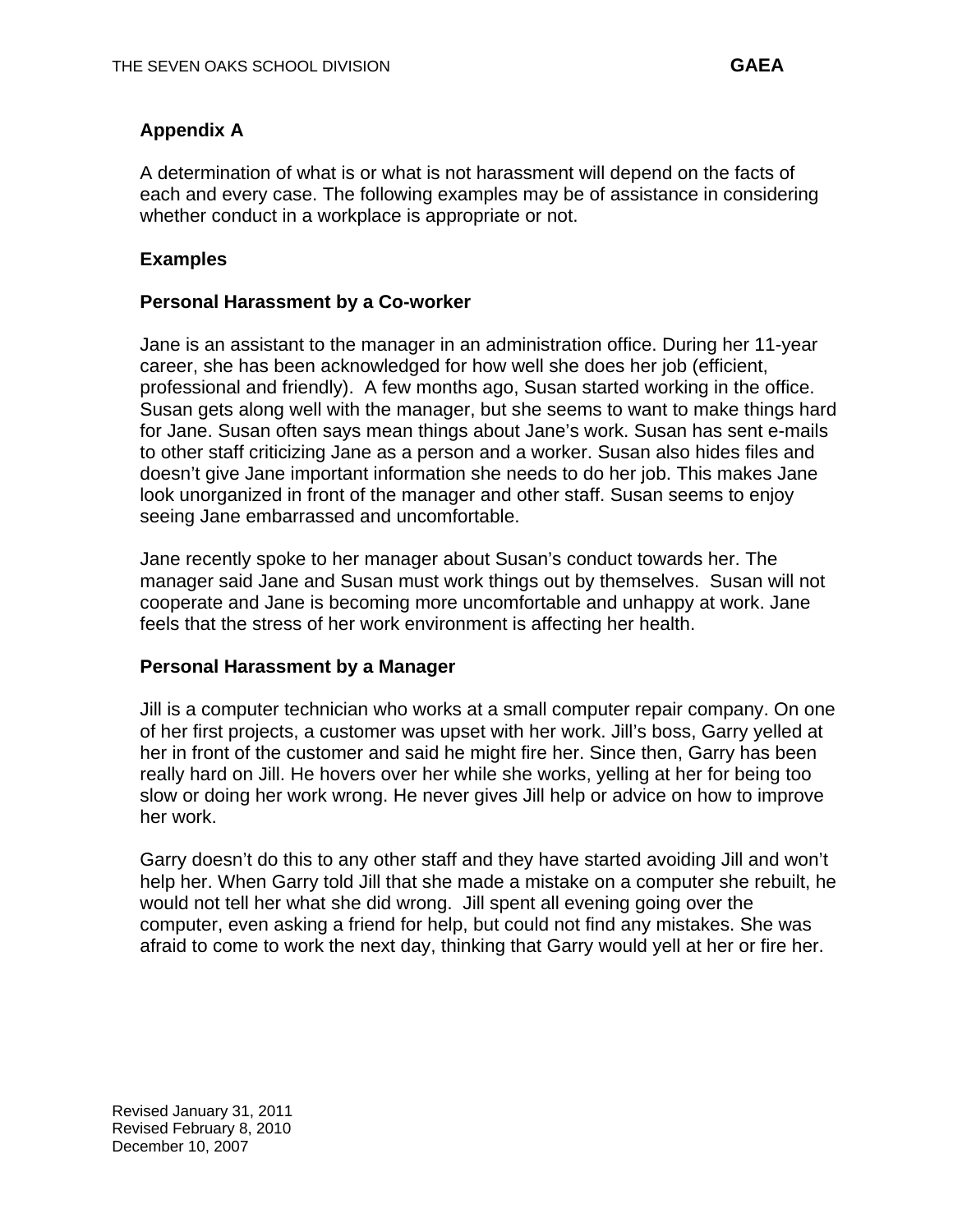# **Appendix A**

A determination of what is or what is not harassment will depend on the facts of each and every case. The following examples may be of assistance in considering whether conduct in a workplace is appropriate or not.

# **Examples**

## **Personal Harassment by a Co-worker**

Jane is an assistant to the manager in an administration office. During her 11-year career, she has been acknowledged for how well she does her job (efficient, professional and friendly). A few months ago, Susan started working in the office. Susan gets along well with the manager, but she seems to want to make things hard for Jane. Susan often says mean things about Jane's work. Susan has sent e-mails to other staff criticizing Jane as a person and a worker. Susan also hides files and doesn't give Jane important information she needs to do her job. This makes Jane look unorganized in front of the manager and other staff. Susan seems to enjoy seeing Jane embarrassed and uncomfortable.

Jane recently spoke to her manager about Susan's conduct towards her. The manager said Jane and Susan must work things out by themselves. Susan will not cooperate and Jane is becoming more uncomfortable and unhappy at work. Jane feels that the stress of her work environment is affecting her health.

### **Personal Harassment by a Manager**

Jill is a computer technician who works at a small computer repair company. On one of her first projects, a customer was upset with her work. Jill's boss, Garry yelled at her in front of the customer and said he might fire her. Since then, Garry has been really hard on Jill. He hovers over her while she works, yelling at her for being too slow or doing her work wrong. He never gives Jill help or advice on how to improve her work.

Garry doesn't do this to any other staff and they have started avoiding Jill and won't help her. When Garry told Jill that she made a mistake on a computer she rebuilt, he would not tell her what she did wrong. Jill spent all evening going over the computer, even asking a friend for help, but could not find any mistakes. She was afraid to come to work the next day, thinking that Garry would yell at her or fire her.